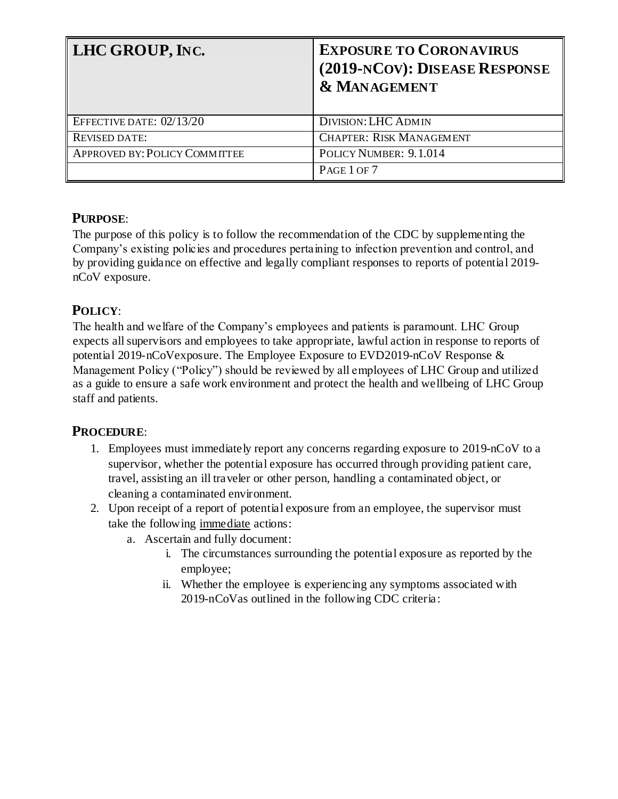| LHC GROUP, INC.               | <b>EXPOSURE TO CORONAVIRUS</b><br>(2019-NCOV): DISEASE RESPONSE<br><b>&amp; MANAGEMENT</b> |
|-------------------------------|--------------------------------------------------------------------------------------------|
| EFFECTIVE DATE: 02/13/20      | <b>DIVISION: LHC ADMIN</b>                                                                 |
| <b>REVISED DATE:</b>          | <b>CHAPTER: RISK MANAGEMENT</b>                                                            |
| APPROVED BY: POLICY COMMITTEE | POLICY NUMBER: 9.1.014                                                                     |
|                               | PAGE 1 OF 7                                                                                |

## **PURPOSE**:

The purpose of this policy is to follow the recommendation of the CDC by supplementing the Company's existing policies and procedures pertaining to infection prevention and control, and by providing guidance on effective and legally compliant responses to reports of potential 2019 nCoV exposure.

# **POLICY**:

The health and welfare of the Company's employees and patients is paramount. LHC Group expects all supervisors and employees to take appropriate, lawful action in response to reports of potential 2019-nCoVexposure. The Employee Exposure to EVD2019-nCoV Response & Management Policy ("Policy") should be reviewed by all employees of LHC Group and utilized as a guide to ensure a safe work environment and protect the health and wellbeing of LHC Group staff and patients.

## **PROCEDURE**:

- 1. Employees must immediately report any concerns regarding exposure to 2019-nCoV to a supervisor, whether the potential exposure has occurred through providing patient care, travel, assisting an ill traveler or other person, handling a contaminated object, or cleaning a contaminated environment.
- 2. Upon receipt of a report of potential exposure from an employee, the supervisor must take the following immediate actions:
	- a. Ascertain and fully document:
		- i. The circumstances surrounding the potential exposure as reported by the employee;
		- ii. Whether the employee is experiencing any symptoms associated with 2019-nCoVas outlined in the following CDC criteria: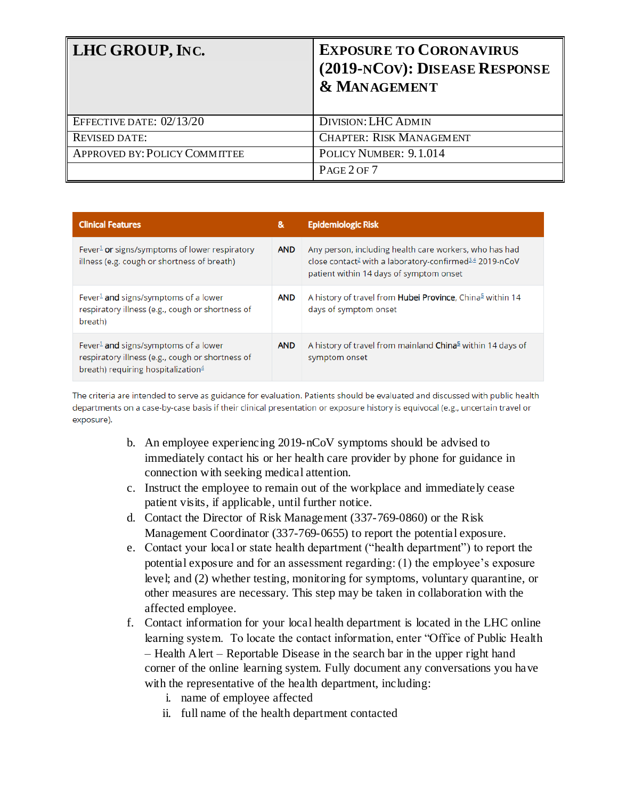| <b>LHC GROUP, INC.</b>        | <b>EXPOSURE TO CORONAVIRUS</b><br>(2019-NCOV): DISEASE RESPONSE<br><b>&amp; MANAGEMENT</b> |
|-------------------------------|--------------------------------------------------------------------------------------------|
| EFFECTIVE DATE: 02/13/20      | <b>DIVISION: LHC ADMIN</b>                                                                 |
| <b>REVISED DATE:</b>          | <b>CHAPTER: RISK MANAGEMENT</b>                                                            |
| APPROVED BY: POLICY COMMITTEE | POLICY NUMBER: 9.1.014                                                                     |
|                               | PAGE 2 OF 7                                                                                |

| <b>Clinical Features</b>                                                                                                                      | &          | <b>Epidemiologic Risk</b>                                                                                                                                                            |
|-----------------------------------------------------------------------------------------------------------------------------------------------|------------|--------------------------------------------------------------------------------------------------------------------------------------------------------------------------------------|
| Fever <sup>1</sup> or signs/symptoms of lower respiratory<br>illness (e.g. cough or shortness of breath)                                      | <b>AND</b> | Any person, including health care workers, who has had<br>close contact <sup>2</sup> with a laboratory-confirmed <sup>3,4</sup> 2019-nCoV<br>patient within 14 days of symptom onset |
| Fever <sup>1</sup> and signs/symptoms of a lower<br>respiratory illness (e.g., cough or shortness of<br>breath)                               | <b>AND</b> | A history of travel from <b>Hubei Province</b> , China <sup>5</sup> within 14<br>days of symptom onset                                                                               |
| Fever <sup>1</sup> and signs/symptoms of a lower<br>respiratory illness (e.g., cough or shortness of<br>breath) requiring hospitalization $4$ | <b>AND</b> | A history of travel from mainland <b>China</b> <sup>5</sup> within 14 days of<br>symptom onset                                                                                       |

The criteria are intended to serve as guidance for evaluation. Patients should be evaluated and discussed with public health departments on a case-by-case basis if their clinical presentation or exposure history is equivocal (e.g., uncertain travel or exposure).

- b. An employee experiencing 2019-nCoV symptoms should be advised to immediately contact his or her health care provider by phone for guidance in connection with seeking medical attention.
- c. Instruct the employee to remain out of the workplace and immediately cease patient visits, if applicable, until further notice.
- d. Contact the Director of Risk Management (337-769-0860) or the Risk Management Coordinator (337-769-0655) to report the potential exposure.
- e. Contact your local or state health department ("health department") to report the potential exposure and for an assessment regarding: (1) the employee's exposure level; and (2) whether testing, monitoring for symptoms, voluntary quarantine, or other measures are necessary. This step may be taken in collaboration with the affected employee.
- f. Contact information for your local health department is located in the LHC online learning system. To locate the contact information, enter "Office of Public Health – Health Alert – Reportable Disease in the search bar in the upper right hand corner of the online learning system. Fully document any conversations you have with the representative of the health department, including:
	- i. name of employee affected
	- ii. full name of the health department contacted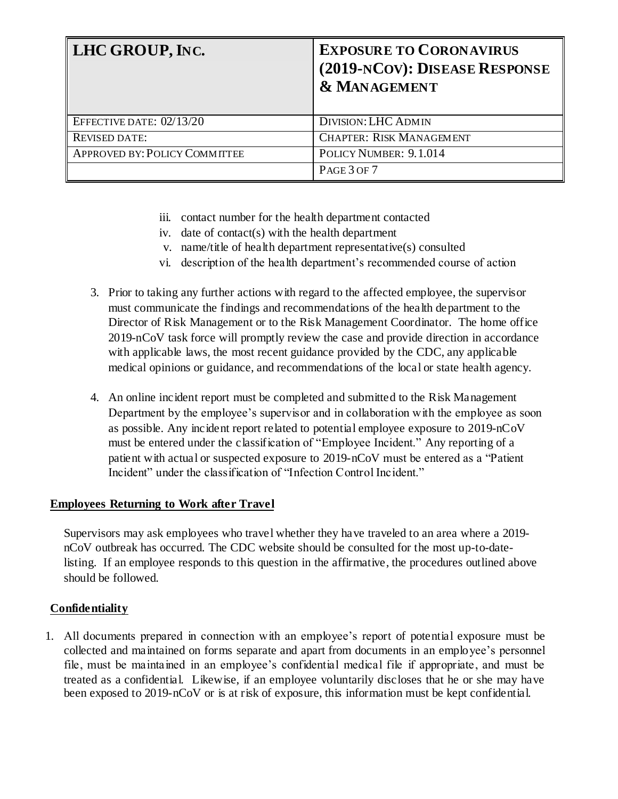| <b>LHC GROUP, INC.</b>        | <b>EXPOSURE TO CORONAVIRUS</b><br>(2019-NCOV): DISEASE RESPONSE<br><b>&amp; MANAGEMENT</b> |
|-------------------------------|--------------------------------------------------------------------------------------------|
| EFFECTIVE DATE: 02/13/20      | <b>DIVISION: LHC ADMIN</b>                                                                 |
| <b>REVISED DATE:</b>          | <b>CHAPTER: RISK MANAGEMENT</b>                                                            |
| APPROVED BY: POLICY COMMITTEE | POLICY NUMBER: 9.1.014                                                                     |
|                               | PAGE 3 OF 7                                                                                |

- iii. contact number for the health department contacted
- iv. date of contact(s) with the health department
- v. name/title of health department representative(s) consulted
- vi. description of the health department's recommended course of action
- 3. Prior to taking any further actions with regard to the affected employee, the supervisor must communicate the findings and recommendations of the health department to the Director of Risk Management or to the Risk Management Coordinator. The home office 2019-nCoV task force will promptly review the case and provide direction in accordance with applicable laws, the most recent guidance provided by the CDC, any applicable medical opinions or guidance, and recommendations of the local or state health agency.
- 4. An online incident report must be completed and submitted to the Risk Management Department by the employee's supervisor and in collaboration with the employee as soon as possible. Any incident report related to potential employee exposure to 2019-nCoV must be entered under the classification of "Employee Incident." Any reporting of a patient with actual or suspected exposure to 2019-nCoV must be entered as a "Patient Incident" under the classification of "Infection Control Incident."

## **Employees Returning to Work after Travel**

Supervisors may ask employees who travel whether they have traveled to an area where a 2019 nCoV outbreak has occurred. The CDC website should be consulted for the most up-to-datelisting. If an employee responds to this question in the affirmative, the procedures outlined above should be followed.

## **Confidentiality**

1. All documents prepared in connection with an employee's report of potential exposure must be collected and maintained on forms separate and apart from documents in an employee's personnel file, must be maintained in an employee's confidential medical file if appropriate, and must be treated as a confidential. Likewise, if an employee voluntarily discloses that he or she may have been exposed to 2019-nCoV or is at risk of exposure, this information must be kept confidential.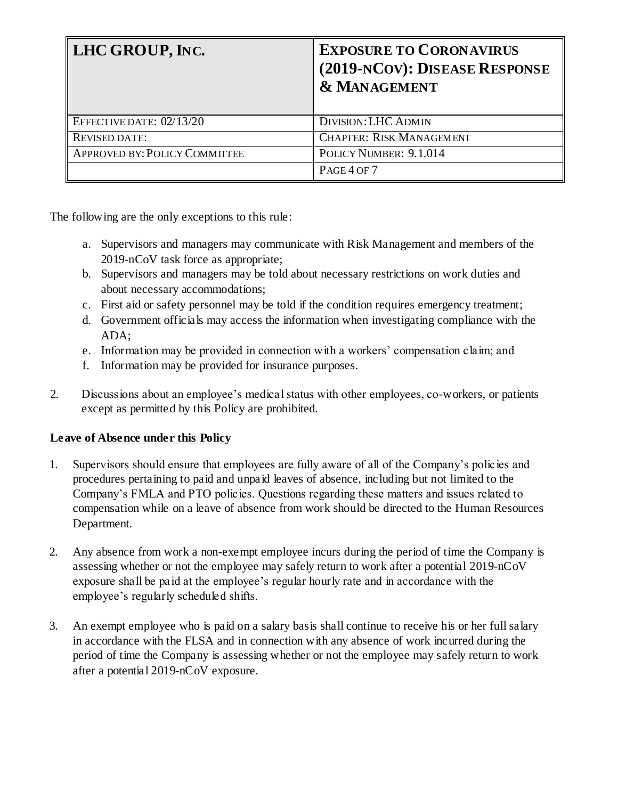| <b>LHC GROUP, INC.</b>        | <b>EXPOSURE TO CORONAVIRUS</b><br>(2019-NCOV): DISEASE RESPONSE<br><b>&amp; MANAGEMENT</b> |
|-------------------------------|--------------------------------------------------------------------------------------------|
| EFFECTIVE DATE: 02/13/20      | <b>DIVISION: LHC ADMIN</b>                                                                 |
| <b>REVISED DATE:</b>          | <b>CHAPTER: RISK MANAGEMENT</b>                                                            |
| APPROVED BY: POLICY COMMITTEE | POLICY NUMBER: 9.1.014                                                                     |
|                               | PAGE 4 OF 7                                                                                |

The following are the only exceptions to this rule:

- a. Supervisors and managers may communicate with Risk Management and members of the 2019-nCoV task force as appropriate;
- b. Supervisors and managers may be told about necessary restrictions on work duties and about necessary accommodations;
- c. First aid or safety personnel may be told if the condition requires emergency treatment;
- d. Government officials may access the information when investigating compliance with the ADA;
- e. Information may be provided in connection with a workers' compensation claim; and
- f. Information may be provided for insurance purposes.
- 2. Discussions about an employee's medical status with other employees, co-workers, or patients except as permitted by this Policy are prohibited.

## **Leave of Absence under this Policy**

- 1. Supervisors should ensure that employees are fully aware of all of the Company's policies and procedures pertaining to paid and unpaid leaves of absence, including but not limited to the Company's FMLA and PTO policies. Questions regarding these matters and issues related to compensation while on a leave of absence from work should be directed to the Human Resources Department.
- 2. Any absence from work a non-exempt employee incurs during the period of time the Company is assessing whether or not the employee may safely return to work after a potential 2019-nCoV exposure shall be paid at the employee's regular hourly rate and in accordance with the employee's regularly scheduled shifts.
- 3. An exempt employee who is paid on a salary basis shall continue to receive his or her full salary in accordance with the FLSA and in connection with any absence of work incurred during the period of time the Company is assessing whether or not the employee may safely return to work after a potential 2019-nCoV exposure.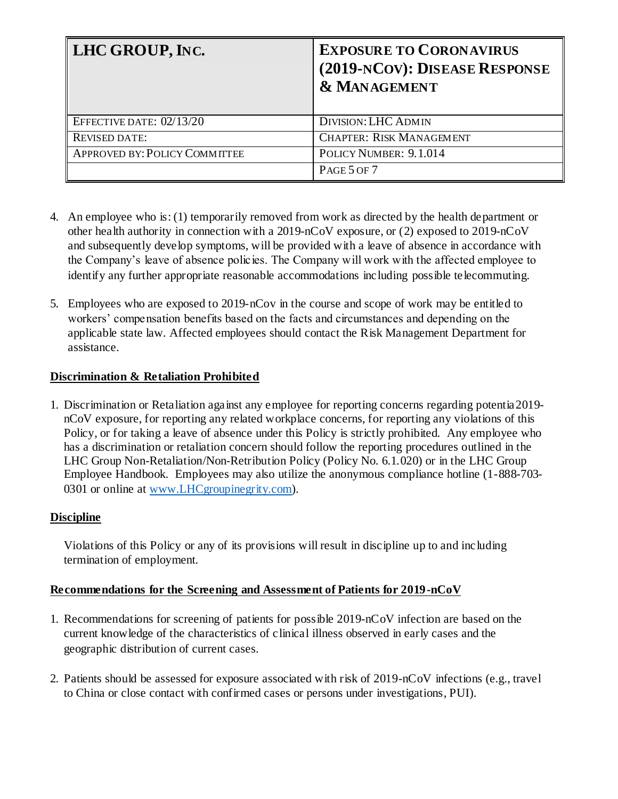| LHC GROUP, INC.               | <b>EXPOSURE TO CORONAVIRUS</b><br>(2019-NCOV): DISEASE RESPONSE<br><b>&amp; MANAGEMENT</b> |
|-------------------------------|--------------------------------------------------------------------------------------------|
| EFFECTIVE DATE: 02/13/20      | <b>DIVISION: LHC ADMIN</b>                                                                 |
| <b>REVISED DATE:</b>          | <b>CHAPTER: RISK MANAGEMENT</b>                                                            |
| APPROVED BY: POLICY COMMITTEE | POLICY NUMBER: 9.1.014                                                                     |
|                               | PAGE 5 OF 7                                                                                |

- 4. An employee who is: (1) temporarily removed from work as directed by the health department or other health authority in connection with a 2019-nCoV exposure, or (2) exposed to 2019-nCoV and subsequently develop symptoms, will be provided with a leave of absence in accordance with the Company's leave of absence policies. The Company will work with the affected employee to identify any further appropriate reasonable accommodations including possible telecommuting.
- 5. Employees who are exposed to 2019-nCov in the course and scope of work may be entitled to workers' compensation benefits based on the facts and circumstances and depending on the applicable state law. Affected employees should contact the Risk Management Department for assistance.

## **Discrimination & Retaliation Prohibited**

1. Discrimination or Retaliation against any employee for reporting concerns regarding potentia2019 nCoV exposure, for reporting any related workplace concerns, for reporting any violations of this Policy, or for taking a leave of absence under this Policy is strictly prohibited. Any employee who has a discrimination or retaliation concern should follow the reporting procedures outlined in the LHC Group Non-Retaliation/Non-Retribution Policy (Policy No. 6.1.020) or in the LHC Group Employee Handbook. Employees may also utilize the anonymous compliance hotline (1-888-703- 0301 or online at [www.LHCgroupinegrity.com\)](http://www.lhcgroupinegrity.com/).

## **Discipline**

Violations of this Policy or any of its provisions will result in discipline up to and including termination of employment.

## **Recommendations for the Screening and Assessment of Patients for 2019-nCoV**

- 1. Recommendations for screening of patients for possible 2019-nCoV infection are based on the current knowledge of the characteristics of clinical illness observed in early cases and the geographic distribution of current cases.
- 2. Patients should be assessed for exposure associated with risk of 2019-nCoV infections (e.g., travel to China or close contact with confirmed cases or persons under investigations, PUI).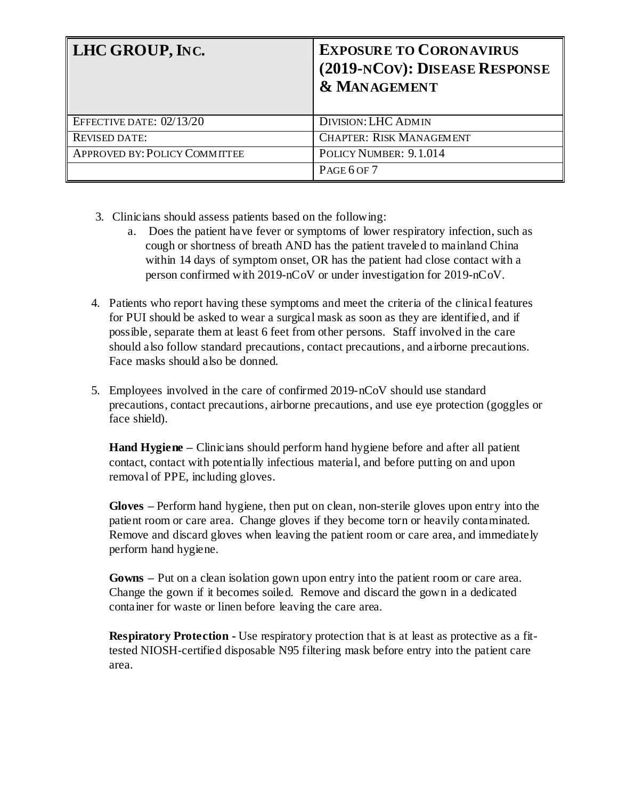| LHC GROUP, INC.               | <b>EXPOSURE TO CORONAVIRUS</b><br>(2019-NCOV): DISEASE RESPONSE<br><b>&amp; MANAGEMENT</b> |
|-------------------------------|--------------------------------------------------------------------------------------------|
| EFFECTIVE DATE: 02/13/20      | <b>DIVISION: LHC ADMIN</b>                                                                 |
| <b>REVISED DATE:</b>          | <b>CHAPTER: RISK MANAGEMENT</b>                                                            |
| APPROVED BY: POLICY COMMITTEE | POLICY NUMBER: 9.1.014                                                                     |
|                               | PAGE 6 OF 7                                                                                |

- 3. Clinicians should assess patients based on the following:
	- a. Does the patient have fever or symptoms of lower respiratory infection, such as cough or shortness of breath AND has the patient traveled to mainland China within 14 days of symptom onset, OR has the patient had close contact with a person confirmed with 2019-nCoV or under investigation for 2019-nCoV.
- 4. Patients who report having these symptoms and meet the criteria of the clinical features for PUI should be asked to wear a surgical mask as soon as they are identified, and if possible, separate them at least 6 feet from other persons. Staff involved in the care should also follow standard precautions, contact precautions, and airborne precautions. Face masks should also be donned.
- 5. Employees involved in the care of confirmed 2019-nCoV should use standard precautions, contact precautions, airborne precautions, and use eye protection (goggles or face shield).

**Hand Hygiene** – Clinicians should perform hand hygiene before and after all patient contact, contact with potentially infectious material, and before putting on and upon removal of PPE, including gloves.

**Gloves –** Perform hand hygiene, then put on clean, non-sterile gloves upon entry into the patient room or care area. Change gloves if they become torn or heavily contaminated. Remove and discard gloves when leaving the patient room or care area, and immediately perform hand hygiene.

**Gowns –** Put on a clean isolation gown upon entry into the patient room or care area. Change the gown if it becomes soiled. Remove and discard the gown in a dedicated container for waste or linen before leaving the care area.

**Respiratory Protection -** Use respiratory protection that is at least as protective as a fittested NIOSH-certified disposable N95 filtering mask before entry into the patient care area.